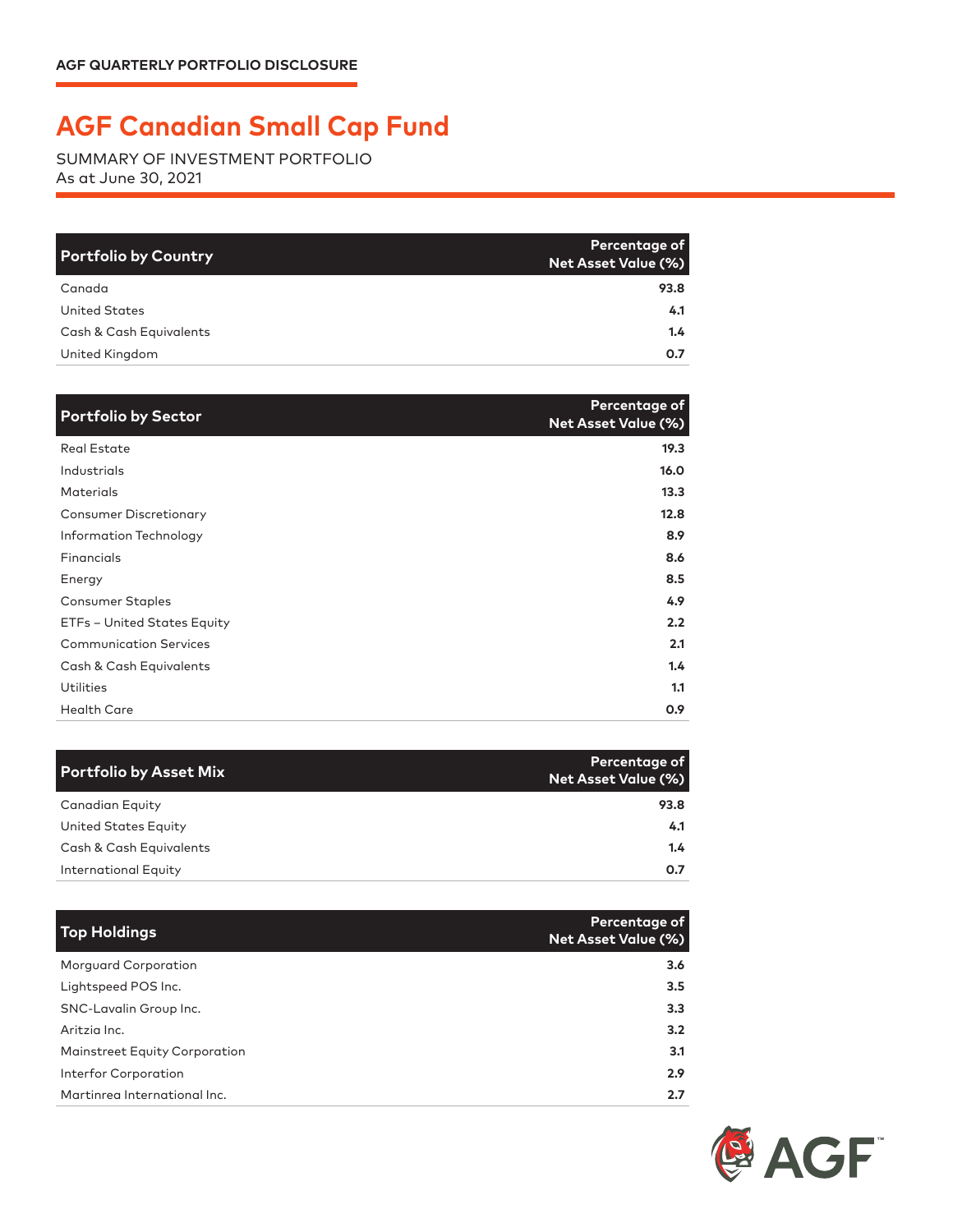## **AGF Canadian Small Cap Fund**

SUMMARY OF INVESTMENT PORTFOLIO As at June 30, 2021

| <b>Portfolio by Country</b> | Percentage of<br>Net Asset Value (%) |
|-----------------------------|--------------------------------------|
| Canada                      | 93.8                                 |
| <b>United States</b>        | 4.1                                  |
| Cash & Cash Equivalents     | $1.4^{\circ}$                        |
| United Kingdom              | O.7                                  |

| <b>Portfolio by Sector</b>    | <b>Percentage of</b><br><b>Net Asset Value (%)</b> |
|-------------------------------|----------------------------------------------------|
| <b>Real Estate</b>            | 19.3                                               |
| Industrials                   | 16.0                                               |
| <b>Materials</b>              | 13.3                                               |
| <b>Consumer Discretionary</b> | 12.8                                               |
| Information Technology        | 8.9                                                |
| Financials                    | 8.6                                                |
| Energy                        | 8.5                                                |
| <b>Consumer Staples</b>       | 4.9                                                |
| ETFs - United States Equity   | 2.2                                                |
| <b>Communication Services</b> | 2.1                                                |
| Cash & Cash Equivalents       | 1.4                                                |
| <b>Utilities</b>              | 1.1                                                |
| <b>Health Care</b>            | 0.9                                                |

| <b>Portfolio by Asset Mix</b> | <b>Percentage of</b><br><b>Net Asset Value (%)</b> |
|-------------------------------|----------------------------------------------------|
| Canadian Equity               | 93.8                                               |
| United States Equity          | 4.1                                                |
| Cash & Cash Equivalents       | $1.4^{\circ}$                                      |
| International Equity          | 0.7                                                |

| <b>Top Holdings</b>           | Percentage of<br><b>Net Asset Value (%)</b> |
|-------------------------------|---------------------------------------------|
| <b>Morguard Corporation</b>   | 3.6                                         |
| Lightspeed POS Inc.           | 3.5                                         |
| SNC-Lavalin Group Inc.        | 3.3                                         |
| Aritzia Inc.                  | 3.2                                         |
| Mainstreet Equity Corporation | 3.1                                         |
| Interfor Corporation          | 2.9                                         |
| Martinrea International Inc.  | 2.7                                         |